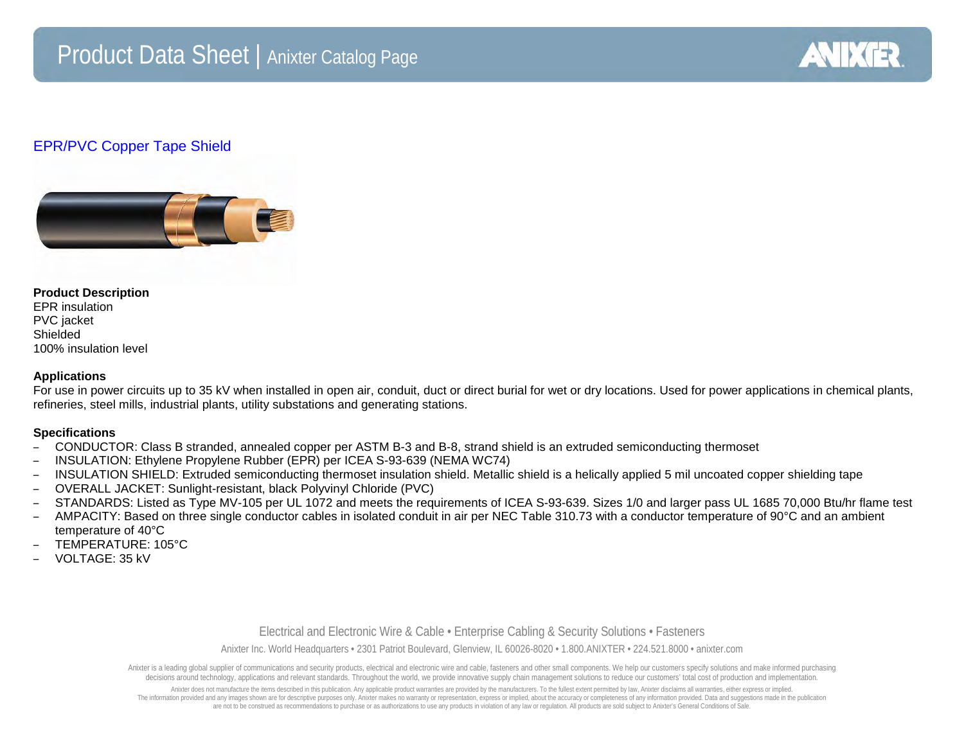

# EPR/PVC Copper Tape Shield



#### **Product Description**

EPR insulation PVC jacket Shielded 100% insulation level

### **Applications**

For use in power circuits up to 35 kV when installed in open air, conduit, duct or direct burial for wet or dry locations. Used for power applications in chemical plants, refineries, steel mills, industrial plants, utility substations and generating stations.

## **Specifications**

- CONDUCTOR: Class B stranded, annealed copper per ASTM B-3 and B-8, strand shield is an extruded semiconducting thermoset
- INSULATION: Ethylene Propylene Rubber (EPR) per ICEA S-93-639 (NEMA WC74)
- INSULATION SHIELD: Extruded semiconducting thermoset insulation shield. Metallic shield is a helically applied 5 mil uncoated copper shielding tape
- OVERALL JACKET: Sunlight-resistant, black Polyvinyl Chloride (PVC)
- STANDARDS: Listed as Type MV-105 per UL 1072 and meets the requirements of ICEA S-93-639. Sizes 1/0 and larger pass UL 1685 70,000 Btu/hr flame test
- AMPACITY: Based on three single conductor cables in isolated conduit in air per NEC Table 310.73 with a conductor temperature of 90°C and an ambient temperature of 40°C
- TEMPERATURE: 105°C
- VOLTAGE: 35 kV

### Electrical and Electronic Wire & Cable • Enterprise Cabling & Security Solutions • Fasteners

Anixter Inc. World Headquarters • 2301 Patriot Boulevard, Glenview, IL 60026-8020 • 1.800.ANIXTER • 224.521.8000 • anixter.com

Anixter is a leading global supplier of communications and security products, electrical and electronic wire and cable, fasteners and other small components. We help our customers specify solutions and make informed purcha decisions around technology, applications and relevant standards. Throughout the world, we provide innovative supply chain management solutions to reduce our customers' total cost of production and implementation.

Anixter does not manufacture the items described in this publication. Any applicable product warranties are provided by the manufacturers. To the fullest extent permitted by law, Anixter disclaims all warranties, either ex The information provided and any images shown are for descriptive purposes only. Anixter makes no warranty or representation, express or implied, about the accuracy or completeness of any information provided. Data and sug are not to be construed as recommendations to purchase or as authorizations to use any products in violation of any law or regulation. All products are sold subject to Anixter's General Conditions of Sale.